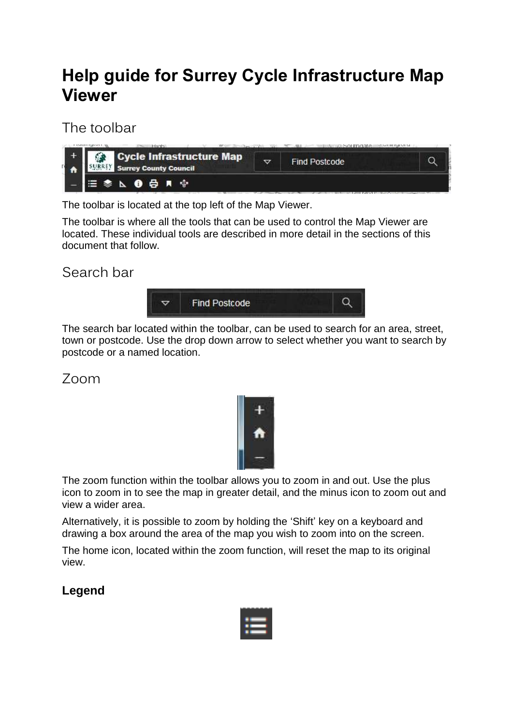# **Help guide for Surrey Cycle Infrastructure Map Viewer**

# The toolbar

| Cycle Infrastructure Map<br>63<br><b>Surrey County Council</b> | ▽ | <b>Find Postcode</b> | <b>Second Bank Bank Second</b> |
|----------------------------------------------------------------|---|----------------------|--------------------------------|
| <b>三参 ∆ ❶ 号 R ☆</b>                                            |   |                      |                                |

The toolbar is located at the top left of the Map Viewer.

The toolbar is where all the tools that can be used to control the Map Viewer are located. These individual tools are described in more detail in the sections of this document that follow.

# Search bar



The search bar located within the toolbar, can be used to search for an area, street, town or postcode. Use the drop down arrow to select whether you want to search by postcode or a named location.

## Zoom



The zoom function within the toolbar allows you to zoom in and out. Use the plus icon to zoom in to see the map in greater detail, and the minus icon to zoom out and view a wider area.

Alternatively, it is possible to zoom by holding the 'Shift' key on a keyboard and drawing a box around the area of the map you wish to zoom into on the screen.

The home icon, located within the zoom function, will reset the map to its original view.

## **Legend**

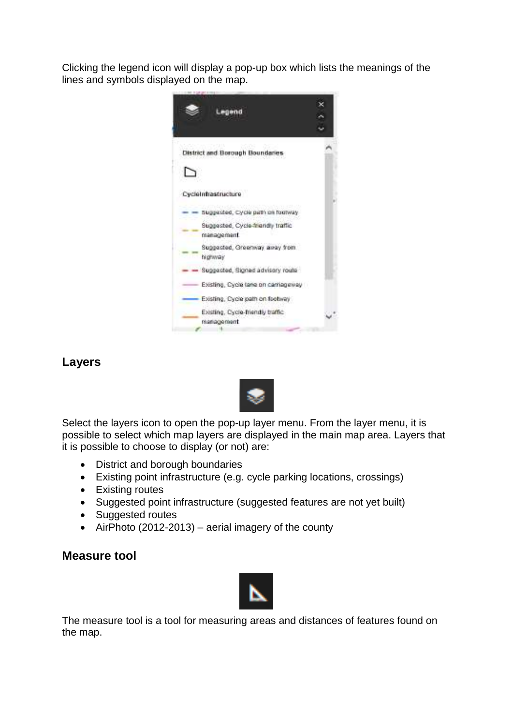Clicking the legend icon will display a pop-up box which lists the meanings of the lines and symbols displayed on the map.



## **Layers**



Select the layers icon to open the pop-up layer menu. From the layer menu, it is possible to select which map layers are displayed in the main map area. Layers that it is possible to choose to display (or not) are:

- District and borough boundaries
- Existing point infrastructure (e.g. cycle parking locations, crossings)
- Existing routes
- Suggested point infrastructure (suggested features are not yet built)
- Suggested routes
- AirPhoto (2012-2013) aerial imagery of the county

#### **Measure tool**



The measure tool is a tool for measuring areas and distances of features found on the map.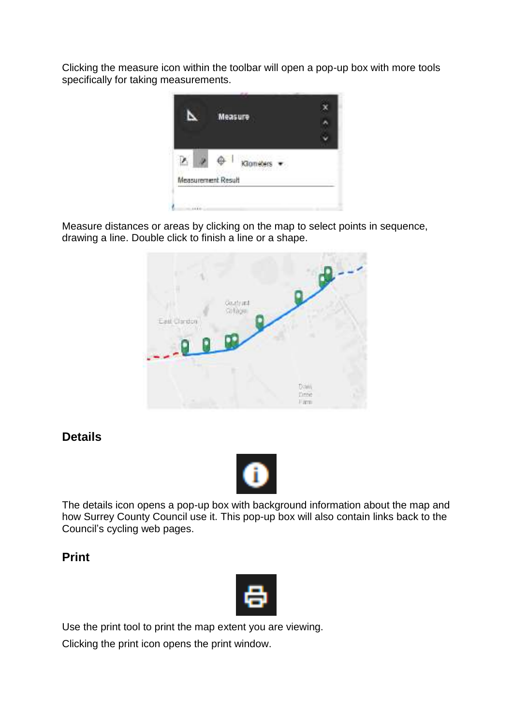Clicking the measure icon within the toolbar will open a pop-up box with more tools specifically for taking measurements.



Measure distances or areas by clicking on the map to select points in sequence, drawing a line. Double click to finish a line or a shape.



## **Details**



The details icon opens a pop-up box with background information about the map and how Surrey County Council use it. This pop-up box will also contain links back to the Council's cycling web pages.

## **Print**



Use the print tool to print the map extent you are viewing.

Clicking the print icon opens the print window.